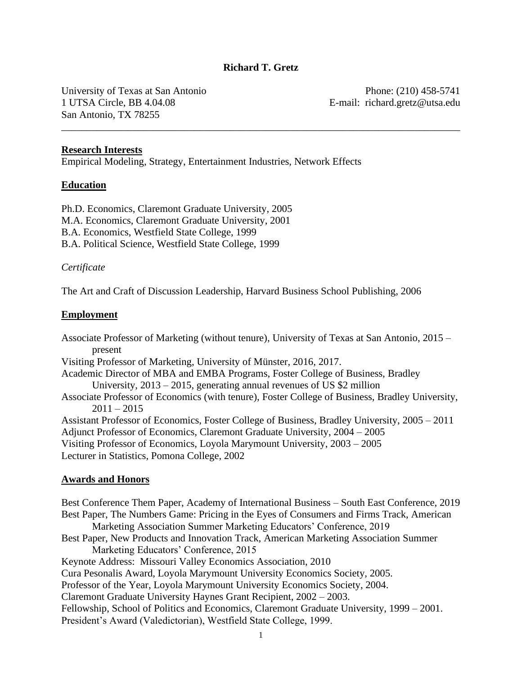### **Richard T. Gretz**

\_\_\_\_\_\_\_\_\_\_\_\_\_\_\_\_\_\_\_\_\_\_\_\_\_\_\_\_\_\_\_\_\_\_\_\_\_\_\_\_\_\_\_\_\_\_\_\_\_\_\_\_\_\_\_\_\_\_\_\_\_\_\_\_\_\_\_\_\_\_\_\_\_\_\_\_\_\_

University of Texas at San Antonio 1 UTSA Circle, BB 4.04.08 San Antonio, TX 78255

Phone: (210) 458-5741 E-mail: richard.gretz@utsa.edu

#### **Research Interests**

Empirical Modeling, Strategy, Entertainment Industries, Network Effects

#### **Education**

Ph.D. Economics, Claremont Graduate University, 2005 M.A. Economics, Claremont Graduate University, 2001 B.A. Economics, Westfield State College, 1999 B.A. Political Science, Westfield State College, 1999

#### *Certificate*

The Art and Craft of Discussion Leadership, Harvard Business School Publishing, 2006

#### **Employment**

Associate Professor of Marketing (without tenure), University of Texas at San Antonio, 2015 – present Visiting Professor of Marketing, University of Münster, 2016, 2017. Academic Director of MBA and EMBA Programs, Foster College of Business, Bradley University, 2013 – 2015, generating annual revenues of US \$2 million Associate Professor of Economics (with tenure), Foster College of Business, Bradley University,  $2011 - 2015$ Assistant Professor of Economics, Foster College of Business, Bradley University, 2005 – 2011 Adjunct Professor of Economics, Claremont Graduate University, 2004 – 2005 Visiting Professor of Economics, Loyola Marymount University, 2003 – 2005 Lecturer in Statistics, Pomona College, 2002

#### **Awards and Honors**

Best Conference Them Paper, Academy of International Business – South East Conference, 2019 Best Paper, The Numbers Game: Pricing in the Eyes of Consumers and Firms Track, American Marketing Association Summer Marketing Educators' Conference, 2019 Best Paper, New Products and Innovation Track, American Marketing Association Summer Marketing Educators' Conference, 2015 Keynote Address: Missouri Valley Economics Association, 2010 Cura Pesonalis Award, Loyola Marymount University Economics Society, 2005. Professor of the Year, Loyola Marymount University Economics Society, 2004. Claremont Graduate University Haynes Grant Recipient, 2002 – 2003. Fellowship, School of Politics and Economics, Claremont Graduate University, 1999 – 2001. President's Award (Valedictorian), Westfield State College, 1999.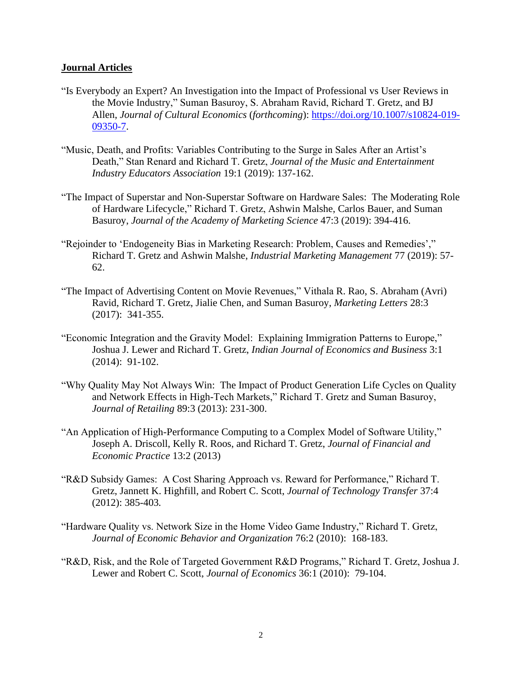#### **Journal Articles**

- "Is Everybody an Expert? An Investigation into the Impact of Professional vs User Reviews in the Movie Industry," Suman Basuroy, S. Abraham Ravid, Richard T. Gretz, and BJ Allen, *Journal of Cultural Economics* (*forthcoming*): [https://doi.org/10.1007/s10824-019-](https://doi.org/10.1007/s10824-019-09350-7) [09350-7.](https://doi.org/10.1007/s10824-019-09350-7)
- "Music, Death, and Profits: Variables Contributing to the Surge in Sales After an Artist's Death," Stan Renard and Richard T. Gretz, *Journal of the Music and Entertainment Industry Educators Association* 19:1 (2019): 137-162.
- "The Impact of Superstar and Non-Superstar Software on Hardware Sales: The Moderating Role of Hardware Lifecycle," Richard T. Gretz, Ashwin Malshe, Carlos Bauer, and Suman Basuroy, *Journal of the Academy of Marketing Science* 47:3 (2019): 394-416.
- "Rejoinder to 'Endogeneity Bias in Marketing Research: Problem, Causes and Remedies'," Richard T. Gretz and Ashwin Malshe, *Industrial Marketing Management* 77 (2019): 57- 62.
- "The Impact of Advertising Content on Movie Revenues," Vithala R. Rao, S. Abraham (Avri) Ravid, Richard T. Gretz, Jialie Chen, and Suman Basuroy, *Marketing Letters* 28:3 (2017): 341-355.
- "Economic Integration and the Gravity Model: Explaining Immigration Patterns to Europe," Joshua J. Lewer and Richard T. Gretz, *Indian Journal of Economics and Business* 3:1 (2014): 91-102.
- "Why Quality May Not Always Win: The Impact of Product Generation Life Cycles on Quality and Network Effects in High-Tech Markets," Richard T. Gretz and Suman Basuroy, *Journal of Retailing* 89:3 (2013): 231-300.
- "An Application of High-Performance Computing to a Complex Model of Software Utility," Joseph A. Driscoll, Kelly R. Roos, and Richard T. Gretz, *Journal of Financial and Economic Practice* 13:2 (2013)
- "R&D Subsidy Games: A Cost Sharing Approach vs. Reward for Performance," Richard T. Gretz, Jannett K. Highfill, and Robert C. Scott, *Journal of Technology Transfer* 37:4 (2012): 385-403*.*
- "Hardware Quality vs. Network Size in the Home Video Game Industry," Richard T. Gretz, *Journal of Economic Behavior and Organization* 76:2 (2010): 168-183.
- "R&D, Risk, and the Role of Targeted Government R&D Programs," Richard T. Gretz, Joshua J. Lewer and Robert C. Scott, *Journal of Economics* 36:1 (2010): 79-104.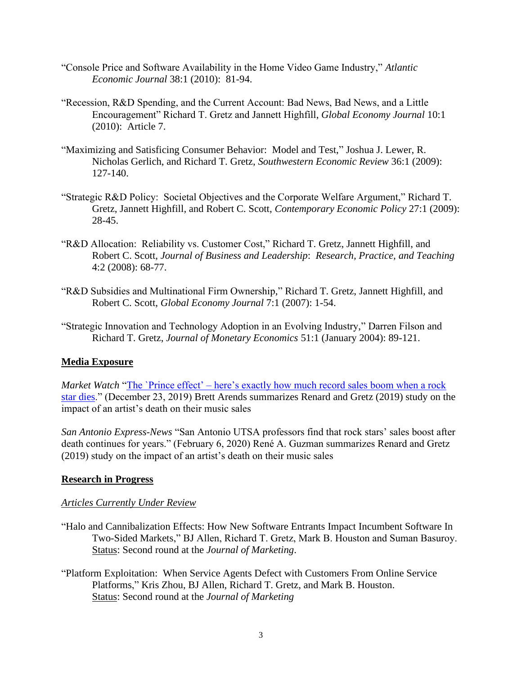- "Console Price and Software Availability in the Home Video Game Industry," *Atlantic Economic Journal* 38:1 (2010): 81-94.
- "Recession, R&D Spending, and the Current Account: Bad News, Bad News, and a Little Encouragement" Richard T. Gretz and Jannett Highfill, *Global Economy Journal* 10:1 (2010): Article 7.
- "Maximizing and Satisficing Consumer Behavior: Model and Test," Joshua J. Lewer, R. Nicholas Gerlich, and Richard T. Gretz, *Southwestern Economic Review* 36:1 (2009): 127-140.
- "Strategic R&D Policy: Societal Objectives and the Corporate Welfare Argument," Richard T. Gretz, Jannett Highfill, and Robert C. Scott, *Contemporary Economic Policy* 27:1 (2009): 28-45.
- "R&D Allocation: Reliability vs. Customer Cost," Richard T. Gretz, Jannett Highfill, and Robert C. Scott, *Journal of Business and Leadership*: *Research, Practice, and Teaching* 4:2 (2008): 68-77.
- "R&D Subsidies and Multinational Firm Ownership," Richard T. Gretz, Jannett Highfill, and Robert C. Scott, *Global Economy Journal* 7:1 (2007): 1-54.
- "Strategic Innovation and Technology Adoption in an Evolving Industry," Darren Filson and Richard T. Gretz, *Journal of Monetary Economics* 51:1 (January 2004): 89-121.

# **Media Exposure**

*Market Watch* "The `Prince effect' – here's exactly how much record sales boom when a rock [star dies.](https://www.marketwatch.com/story/the-prince-effect-heres-exactly-how-much-record-sales-boom-when-a-rock-star-dies-2019-12-20)" (December 23, 2019) Brett Arends summarizes Renard and Gretz (2019) study on the impact of an artist's death on their music sales

*San Antonio Express-News* "San Antonio UTSA professors find that rock stars' sales boost after death continues for years." (February 6, 2020) René A. Guzman summarizes Renard and Gretz (2019) study on the impact of an artist's death on their music sales

### **Research in Progress**

### *Articles Currently Under Review*

- "Halo and Cannibalization Effects: How New Software Entrants Impact Incumbent Software In Two-Sided Markets," BJ Allen, Richard T. Gretz, Mark B. Houston and Suman Basuroy. Status: Second round at the *Journal of Marketing*.
- "Platform Exploitation: When Service Agents Defect with Customers From Online Service Platforms," Kris Zhou, BJ Allen, Richard T. Gretz, and Mark B. Houston. Status: Second round at the *Journal of Marketing*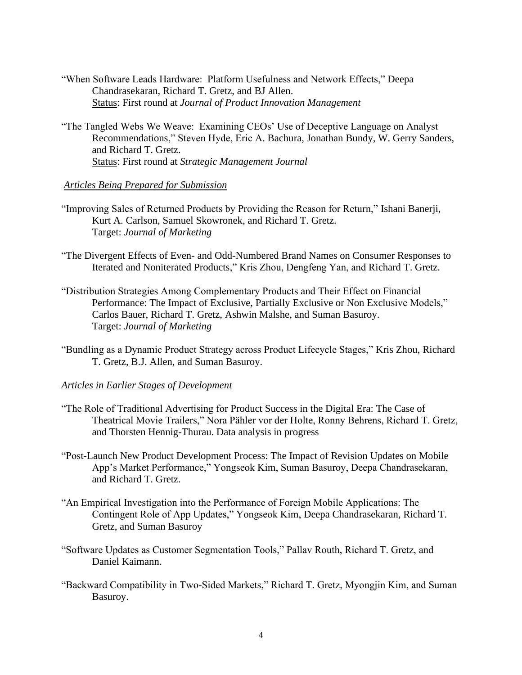- "When Software Leads Hardware: Platform Usefulness and Network Effects," Deepa Chandrasekaran, Richard T. Gretz, and BJ Allen. Status: First round at *Journal of Product Innovation Management*
- "The Tangled Webs We Weave: Examining CEOs' Use of Deceptive Language on Analyst Recommendations," Steven Hyde, Eric A. Bachura, Jonathan Bundy, W. Gerry Sanders, and Richard T. Gretz. Status: First round at *Strategic Management Journal*

### *Articles Being Prepared for Submission*

- "Improving Sales of Returned Products by Providing the Reason for Return," Ishani Banerji, Kurt A. Carlson, Samuel Skowronek, and Richard T. Gretz. Target: *Journal of Marketing*
- "The Divergent Effects of Even- and Odd-Numbered Brand Names on Consumer Responses to Iterated and Noniterated Products," Kris Zhou, Dengfeng Yan, and Richard T. Gretz.
- "Distribution Strategies Among Complementary Products and Their Effect on Financial Performance: The Impact of Exclusive, Partially Exclusive or Non Exclusive Models," Carlos Bauer, Richard T. Gretz, Ashwin Malshe, and Suman Basuroy. Target: *Journal of Marketing*
- "Bundling as a Dynamic Product Strategy across Product Lifecycle Stages," Kris Zhou, Richard T. Gretz, B.J. Allen, and Suman Basuroy.

#### *Articles in Earlier Stages of Development*

- "The Role of Traditional Advertising for Product Success in the Digital Era: The Case of Theatrical Movie Trailers," Nora Pähler vor der Holte, Ronny Behrens, Richard T. Gretz, and Thorsten Hennig-Thurau. Data analysis in progress
- "Post-Launch New Product Development Process: The Impact of Revision Updates on Mobile App's Market Performance," Yongseok Kim, Suman Basuroy, Deepa Chandrasekaran, and Richard T. Gretz.
- "An Empirical Investigation into the Performance of Foreign Mobile Applications: The Contingent Role of App Updates," Yongseok Kim, Deepa Chandrasekaran, Richard T. Gretz, and Suman Basuroy
- "Software Updates as Customer Segmentation Tools," Pallav Routh, Richard T. Gretz, and Daniel Kaimann.
- "Backward Compatibility in Two-Sided Markets," Richard T. Gretz, Myongjin Kim, and Suman Basuroy.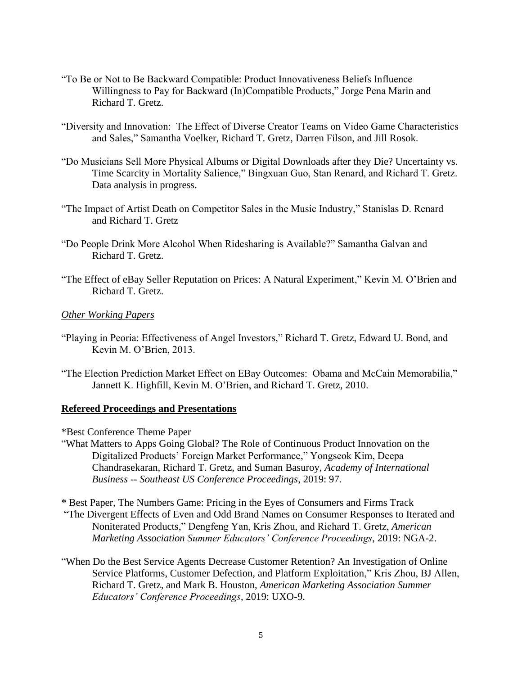- "To Be or Not to Be Backward Compatible: Product Innovativeness Beliefs Influence Willingness to Pay for Backward (In)Compatible Products," Jorge Pena Marin and Richard T. Gretz.
- "Diversity and Innovation: The Effect of Diverse Creator Teams on Video Game Characteristics and Sales," Samantha Voelker, Richard T. Gretz, Darren Filson, and Jill Rosok.
- "Do Musicians Sell More Physical Albums or Digital Downloads after they Die? Uncertainty vs. Time Scarcity in Mortality Salience," Bingxuan Guo, Stan Renard, and Richard T. Gretz. Data analysis in progress.
- "The Impact of Artist Death on Competitor Sales in the Music Industry," Stanislas D. Renard and Richard T. Gretz
- "Do People Drink More Alcohol When Ridesharing is Available?" Samantha Galvan and Richard T. Gretz.
- "The Effect of eBay Seller Reputation on Prices: A Natural Experiment," Kevin M. O'Brien and Richard T. Gretz.

#### *Other Working Papers*

- "Playing in Peoria: Effectiveness of Angel Investors," Richard T. Gretz, Edward U. Bond, and Kevin M. O'Brien, 2013.
- "The Election Prediction Market Effect on EBay Outcomes: Obama and McCain Memorabilia," Jannett K. Highfill, Kevin M. O'Brien, and Richard T. Gretz, 2010.

#### **Refereed Proceedings and Presentations**

- \*Best Conference Theme Paper
- "What Matters to Apps Going Global? The Role of Continuous Product Innovation on the Digitalized Products' Foreign Market Performance," Yongseok Kim, Deepa Chandrasekaran, Richard T. Gretz, and Suman Basuroy, *Academy of International Business -- Southeast US Conference Proceedings*, 2019: 97.
- \* Best Paper, The Numbers Game: Pricing in the Eyes of Consumers and Firms Track "The Divergent Effects of Even and Odd Brand Names on Consumer Responses to Iterated and Noniterated Products," Dengfeng Yan, Kris Zhou, and Richard T. Gretz, *American Marketing Association Summer Educators' Conference Proceedings*, 2019: NGA-2.
- "When Do the Best Service Agents Decrease Customer Retention? An Investigation of Online Service Platforms, Customer Defection, and Platform Exploitation," Kris Zhou, BJ Allen, Richard T. Gretz, and Mark B. Houston, *American Marketing Association Summer Educators' Conference Proceedings*, 2019: UXO-9.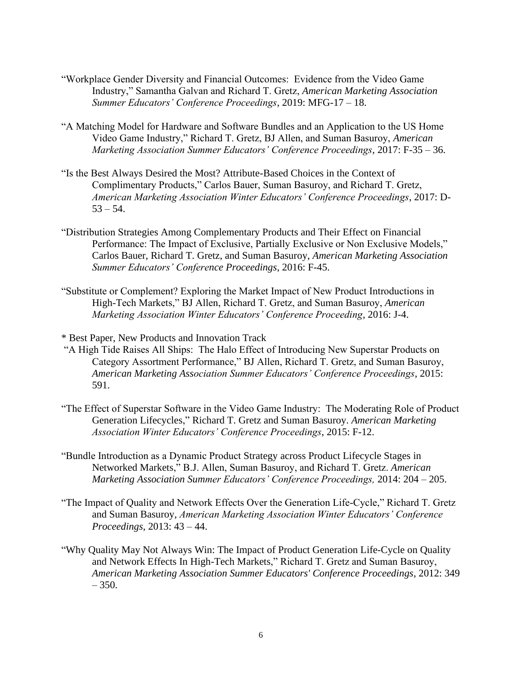- "Workplace Gender Diversity and Financial Outcomes: Evidence from the Video Game Industry," Samantha Galvan and Richard T. Gretz, *American Marketing Association Summer Educators' Conference Proceedings*, 2019: MFG-17 – 18.
- "A Matching Model for Hardware and Software Bundles and an Application to the US Home Video Game Industry," Richard T. Gretz, BJ Allen, and Suman Basuroy, *American Marketing Association Summer Educators' Conference Proceedings*, 2017: F-35 – 36.
- "Is the Best Always Desired the Most? Attribute-Based Choices in the Context of Complimentary Products," Carlos Bauer, Suman Basuroy, and Richard T. Gretz, *American Marketing Association Winter Educators' Conference Proceedings*, 2017: D- $53 - 54$ .
- "Distribution Strategies Among Complementary Products and Their Effect on Financial Performance: The Impact of Exclusive, Partially Exclusive or Non Exclusive Models," Carlos Bauer, Richard T. Gretz, and Suman Basuroy, *American Marketing Association Summer Educators' Conference Proceedings*, 2016: F-45.
- "Substitute or Complement? Exploring the Market Impact of New Product Introductions in High-Tech Markets," BJ Allen, Richard T. Gretz, and Suman Basuroy, *American Marketing Association Winter Educators' Conference Proceeding*, 2016: J-4.
- \* Best Paper, New Products and Innovation Track
- "A High Tide Raises All Ships: The Halo Effect of Introducing New Superstar Products on Category Assortment Performance," BJ Allen, Richard T. Gretz, and Suman Basuroy, *American Marketing Association Summer Educators' Conference Proceedings*, 2015: 591.
- "The Effect of Superstar Software in the Video Game Industry: The Moderating Role of Product Generation Lifecycles," Richard T. Gretz and Suman Basuroy. *American Marketing Association Winter Educators' Conference Proceedings*, 2015: F-12.
- "Bundle Introduction as a Dynamic Product Strategy across Product Lifecycle Stages in Networked Markets," B.J. Allen, Suman Basuroy, and Richard T. Gretz. *American Marketing Association Summer Educators' Conference Proceedings,* 2014: 204 – 205.
- "The Impact of Quality and Network Effects Over the Generation Life-Cycle," Richard T. Gretz and Suman Basuroy, *American Marketing Association Winter Educators' Conference Proceedings,* 2013: 43 – 44.
- "Why Quality May Not Always Win: The Impact of Product Generation Life-Cycle on Quality and Network Effects In High-Tech Markets," Richard T. Gretz and Suman Basuroy, *American Marketing Association Summer Educators' Conference Proceedings*, 2012: 349  $-350.$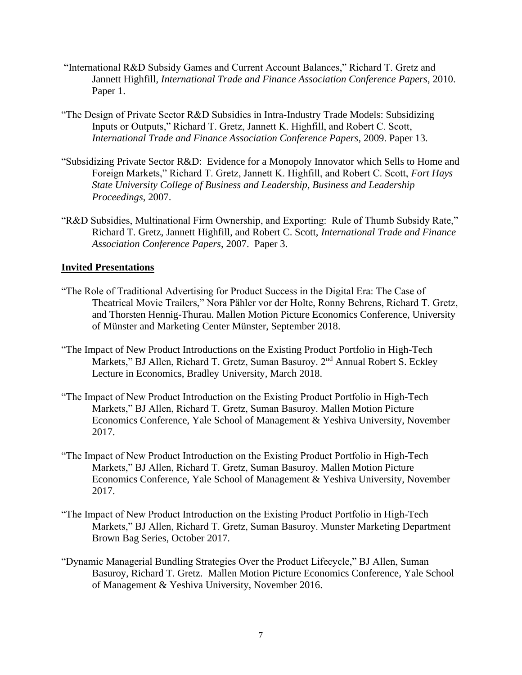- "International R&D Subsidy Games and Current Account Balances," Richard T. Gretz and Jannett Highfill, *International Trade and Finance Association Conference Papers*, 2010. Paper 1.
- "The Design of Private Sector R&D Subsidies in Intra-Industry Trade Models: Subsidizing Inputs or Outputs," Richard T. Gretz, Jannett K. Highfill, and Robert C. Scott, *International Trade and Finance Association Conference Papers*, 2009. Paper 13.
- "Subsidizing Private Sector R&D: Evidence for a Monopoly Innovator which Sells to Home and Foreign Markets," Richard T. Gretz, Jannett K. Highfill, and Robert C. Scott, *Fort Hays State University College of Business and Leadership, Business and Leadership Proceedings*, 2007.
- "R&D Subsidies, Multinational Firm Ownership, and Exporting: Rule of Thumb Subsidy Rate," Richard T. Gretz, Jannett Highfill, and Robert C. Scott, *International Trade and Finance Association Conference Papers*, 2007. Paper 3.

### **Invited Presentations**

- "The Role of Traditional Advertising for Product Success in the Digital Era: The Case of Theatrical Movie Trailers," Nora Pähler vor der Holte, Ronny Behrens, Richard T. Gretz, and Thorsten Hennig-Thurau. Mallen Motion Picture Economics Conference, University of Münster and Marketing Center Münster, September 2018.
- "The Impact of New Product Introductions on the Existing Product Portfolio in High-Tech Markets," BJ Allen, Richard T. Gretz, Suman Basuroy. 2<sup>nd</sup> Annual Robert S. Eckley Lecture in Economics, Bradley University, March 2018.
- "The Impact of New Product Introduction on the Existing Product Portfolio in High-Tech Markets," BJ Allen, Richard T. Gretz, Suman Basuroy. Mallen Motion Picture Economics Conference, Yale School of Management & Yeshiva University, November 2017.
- "The Impact of New Product Introduction on the Existing Product Portfolio in High-Tech Markets," BJ Allen, Richard T. Gretz, Suman Basuroy. Mallen Motion Picture Economics Conference, Yale School of Management & Yeshiva University, November 2017.
- "The Impact of New Product Introduction on the Existing Product Portfolio in High-Tech Markets," BJ Allen, Richard T. Gretz, Suman Basuroy. Munster Marketing Department Brown Bag Series, October 2017.
- "Dynamic Managerial Bundling Strategies Over the Product Lifecycle," BJ Allen, Suman Basuroy, Richard T. Gretz. Mallen Motion Picture Economics Conference, Yale School of Management & Yeshiva University, November 2016.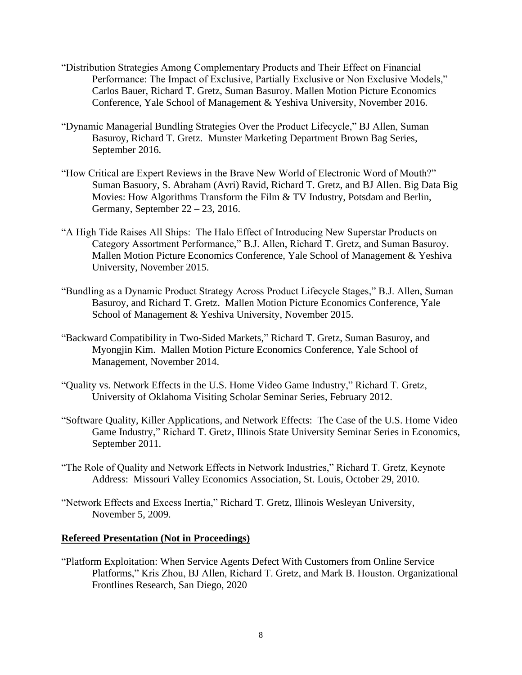- "Distribution Strategies Among Complementary Products and Their Effect on Financial Performance: The Impact of Exclusive, Partially Exclusive or Non Exclusive Models," Carlos Bauer, Richard T. Gretz, Suman Basuroy. Mallen Motion Picture Economics Conference, Yale School of Management & Yeshiva University, November 2016.
- "Dynamic Managerial Bundling Strategies Over the Product Lifecycle," BJ Allen, Suman Basuroy, Richard T. Gretz. Munster Marketing Department Brown Bag Series, September 2016.
- "How Critical are Expert Reviews in the Brave New World of Electronic Word of Mouth?" Suman Basuory, S. Abraham (Avri) Ravid, Richard T. Gretz, and BJ Allen. Big Data Big Movies: How Algorithms Transform the Film & TV Industry, Potsdam and Berlin, Germany, September 22 – 23, 2016.
- "A High Tide Raises All Ships: The Halo Effect of Introducing New Superstar Products on Category Assortment Performance," B.J. Allen, Richard T. Gretz, and Suman Basuroy. Mallen Motion Picture Economics Conference, Yale School of Management & Yeshiva University, November 2015.
- "Bundling as a Dynamic Product Strategy Across Product Lifecycle Stages," B.J. Allen, Suman Basuroy, and Richard T. Gretz. Mallen Motion Picture Economics Conference, Yale School of Management & Yeshiva University, November 2015.
- "Backward Compatibility in Two-Sided Markets," Richard T. Gretz, Suman Basuroy, and Myongjin Kim. Mallen Motion Picture Economics Conference, Yale School of Management, November 2014.
- "Quality vs. Network Effects in the U.S. Home Video Game Industry," Richard T. Gretz, University of Oklahoma Visiting Scholar Seminar Series, February 2012.
- "Software Quality, Killer Applications, and Network Effects: The Case of the U.S. Home Video Game Industry," Richard T. Gretz, Illinois State University Seminar Series in Economics, September 2011.
- "The Role of Quality and Network Effects in Network Industries," Richard T. Gretz, Keynote Address: Missouri Valley Economics Association, St. Louis, October 29, 2010.
- "Network Effects and Excess Inertia," Richard T. Gretz, Illinois Wesleyan University, November 5, 2009.

### **Refereed Presentation (Not in Proceedings)**

"Platform Exploitation: When Service Agents Defect With Customers from Online Service Platforms," Kris Zhou, BJ Allen, Richard T. Gretz, and Mark B. Houston. Organizational Frontlines Research, San Diego, 2020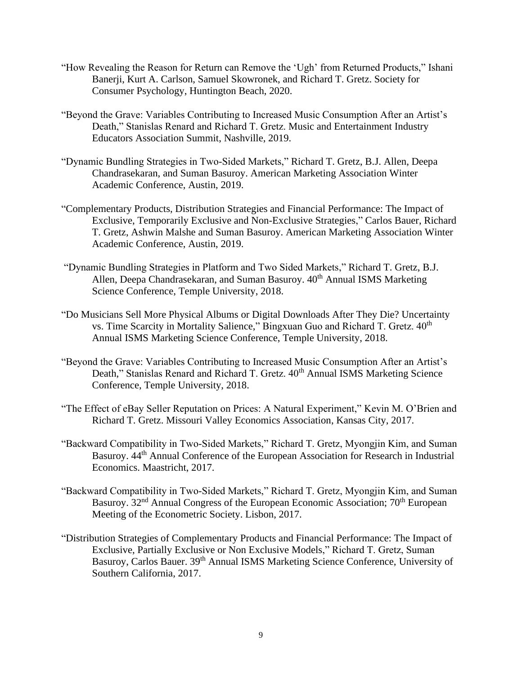- "How Revealing the Reason for Return can Remove the 'Ugh' from Returned Products," Ishani Banerji, Kurt A. Carlson, Samuel Skowronek, and Richard T. Gretz. Society for Consumer Psychology, Huntington Beach, 2020.
- "Beyond the Grave: Variables Contributing to Increased Music Consumption After an Artist's Death," Stanislas Renard and Richard T. Gretz. Music and Entertainment Industry Educators Association Summit, Nashville, 2019.
- "Dynamic Bundling Strategies in Two-Sided Markets," Richard T. Gretz, B.J. Allen, Deepa Chandrasekaran, and Suman Basuroy. American Marketing Association Winter Academic Conference, Austin, 2019.
- "Complementary Products, Distribution Strategies and Financial Performance: The Impact of Exclusive, Temporarily Exclusive and Non-Exclusive Strategies," Carlos Bauer, Richard T. Gretz, Ashwin Malshe and Suman Basuroy. American Marketing Association Winter Academic Conference, Austin, 2019.
- "Dynamic Bundling Strategies in Platform and Two Sided Markets," Richard T. Gretz, B.J. Allen, Deepa Chandrasekaran, and Suman Basuroy. 40<sup>th</sup> Annual ISMS Marketing Science Conference, Temple University, 2018.
- "Do Musicians Sell More Physical Albums or Digital Downloads After They Die? Uncertainty vs. Time Scarcity in Mortality Salience," Bingxuan Guo and Richard T. Gretz.  $40<sup>th</sup>$ Annual ISMS Marketing Science Conference, Temple University, 2018.
- "Beyond the Grave: Variables Contributing to Increased Music Consumption After an Artist's Death," Stanislas Renard and Richard T. Gretz. 40<sup>th</sup> Annual ISMS Marketing Science Conference, Temple University, 2018.
- "The Effect of eBay Seller Reputation on Prices: A Natural Experiment," Kevin M. O'Brien and Richard T. Gretz. Missouri Valley Economics Association, Kansas City, 2017.
- "Backward Compatibility in Two-Sided Markets," Richard T. Gretz, Myongjin Kim, and Suman Basuroy. 44th Annual Conference of the European Association for Research in Industrial Economics. Maastricht, 2017.
- "Backward Compatibility in Two-Sided Markets," Richard T. Gretz, Myongjin Kim, and Suman Basuroy. 32<sup>nd</sup> Annual Congress of the European Economic Association; 70<sup>th</sup> European Meeting of the Econometric Society. Lisbon, 2017.
- "Distribution Strategies of Complementary Products and Financial Performance: The Impact of Exclusive, Partially Exclusive or Non Exclusive Models," Richard T. Gretz, Suman Basuroy, Carlos Bauer. 39<sup>th</sup> Annual ISMS Marketing Science Conference, University of Southern California, 2017.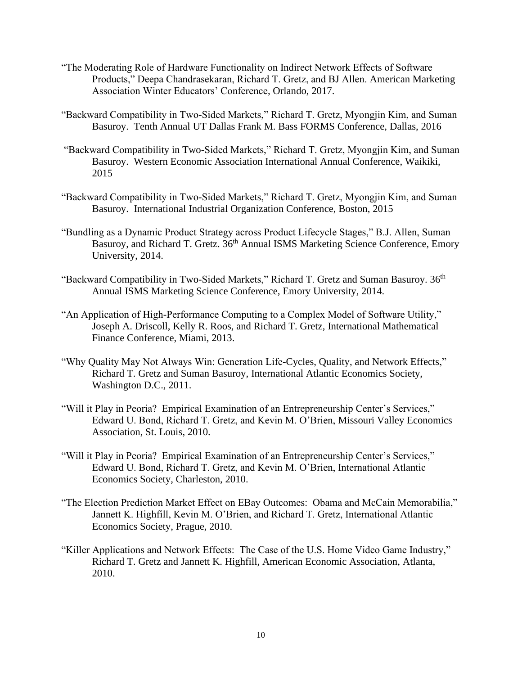- "The Moderating Role of Hardware Functionality on Indirect Network Effects of Software Products," Deepa Chandrasekaran, Richard T. Gretz, and BJ Allen. American Marketing Association Winter Educators' Conference, Orlando, 2017.
- "Backward Compatibility in Two-Sided Markets," Richard T. Gretz, Myongjin Kim, and Suman Basuroy. Tenth Annual UT Dallas Frank M. Bass FORMS Conference, Dallas, 2016
- "Backward Compatibility in Two-Sided Markets," Richard T. Gretz, Myongjin Kim, and Suman Basuroy. Western Economic Association International Annual Conference, Waikiki, 2015
- "Backward Compatibility in Two-Sided Markets," Richard T. Gretz, Myongjin Kim, and Suman Basuroy. International Industrial Organization Conference, Boston, 2015
- "Bundling as a Dynamic Product Strategy across Product Lifecycle Stages," B.J. Allen, Suman Basuroy, and Richard T. Gretz. 36<sup>th</sup> Annual ISMS Marketing Science Conference, Emory University, 2014.
- "Backward Compatibility in Two-Sided Markets," Richard T. Gretz and Suman Basuroy. 36<sup>th</sup> Annual ISMS Marketing Science Conference, Emory University, 2014.
- "An Application of High-Performance Computing to a Complex Model of Software Utility," Joseph A. Driscoll, Kelly R. Roos, and Richard T. Gretz, International Mathematical Finance Conference, Miami, 2013.
- "Why Quality May Not Always Win: Generation Life-Cycles, Quality, and Network Effects," Richard T. Gretz and Suman Basuroy, International Atlantic Economics Society, Washington D.C., 2011.
- "Will it Play in Peoria? Empirical Examination of an Entrepreneurship Center's Services," Edward U. Bond, Richard T. Gretz, and Kevin M. O'Brien, Missouri Valley Economics Association, St. Louis, 2010.
- "Will it Play in Peoria? Empirical Examination of an Entrepreneurship Center's Services," Edward U. Bond, Richard T. Gretz, and Kevin M. O'Brien, International Atlantic Economics Society, Charleston, 2010.
- "The Election Prediction Market Effect on EBay Outcomes: Obama and McCain Memorabilia," Jannett K. Highfill, Kevin M. O'Brien, and Richard T. Gretz, International Atlantic Economics Society, Prague, 2010.
- "Killer Applications and Network Effects: The Case of the U.S. Home Video Game Industry," Richard T. Gretz and Jannett K. Highfill, American Economic Association, Atlanta, 2010.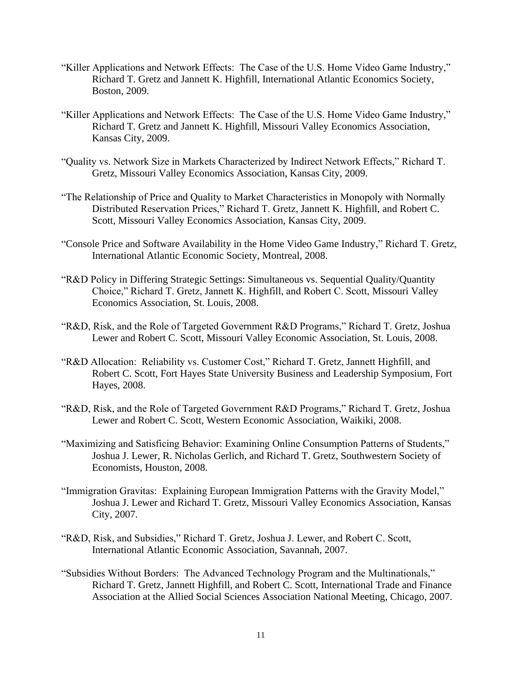- "Killer Applications and Network Effects: The Case of the U.S. Home Video Game Industry," Richard T. Gretz and Jannett K. Highfill, International Atlantic Economics Society, Boston, 2009.
- "Killer Applications and Network Effects: The Case of the U.S. Home Video Game Industry," Richard T. Gretz and Jannett K. Highfill, Missouri Valley Economics Association, Kansas City, 2009.
- "Quality vs. Network Size in Markets Characterized by Indirect Network Effects," Richard T. Gretz, Missouri Valley Economics Association, Kansas City, 2009.
- "The Relationship of Price and Quality to Market Characteristics in Monopoly with Normally Distributed Reservation Prices," Richard T. Gretz, Jannett K. Highfill, and Robert C. Scott, Missouri Valley Economics Association, Kansas City, 2009.
- "Console Price and Software Availability in the Home Video Game Industry," Richard T. Gretz, International Atlantic Economic Society, Montreal, 2008.
- "R&D Policy in Differing Strategic Settings: Simultaneous vs. Sequential Quality/Quantity Choice," Richard T. Gretz, Jannett K. Highfill, and Robert C. Scott, Missouri Valley Economics Association, St. Louis, 2008.
- "R&D, Risk, and the Role of Targeted Government R&D Programs," Richard T. Gretz, Joshua Lewer and Robert C. Scott, Missouri Valley Economic Association, St. Louis, 2008.
- "R&D Allocation: Reliability vs. Customer Cost," Richard T. Gretz, Jannett Highfill, and Robert C. Scott, Fort Hayes State University Business and Leadership Symposium, Fort Hayes, 2008.
- "R&D, Risk, and the Role of Targeted Government R&D Programs," Richard T. Gretz, Joshua Lewer and Robert C. Scott, Western Economic Association, Waikiki, 2008.
- "Maximizing and Satisficing Behavior: Examining Online Consumption Patterns of Students," Joshua J. Lewer, R. Nicholas Gerlich, and Richard T. Gretz, Southwestern Society of Economists, Houston, 2008.
- "Immigration Gravitas: Explaining European Immigration Patterns with the Gravity Model," Joshua J. Lewer and Richard T. Gretz, Missouri Valley Economics Association, Kansas City, 2007.
- "R&D, Risk, and Subsidies," Richard T. Gretz, Joshua J. Lewer, and Robert C. Scott, International Atlantic Economic Association, Savannah, 2007.
- "Subsidies Without Borders: The Advanced Technology Program and the Multinationals," Richard T. Gretz, Jannett Highfill, and Robert C. Scott, International Trade and Finance Association at the Allied Social Sciences Association National Meeting, Chicago, 2007.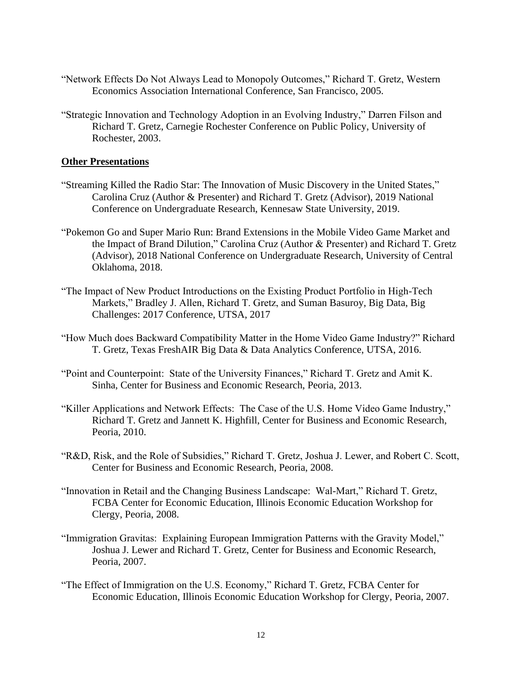- "Network Effects Do Not Always Lead to Monopoly Outcomes," Richard T. Gretz, Western Economics Association International Conference, San Francisco, 2005.
- "Strategic Innovation and Technology Adoption in an Evolving Industry," Darren Filson and Richard T. Gretz, Carnegie Rochester Conference on Public Policy, University of Rochester, 2003.

### **Other Presentations**

- "Streaming Killed the Radio Star: The Innovation of Music Discovery in the United States," Carolina Cruz (Author & Presenter) and Richard T. Gretz (Advisor), 2019 National Conference on Undergraduate Research, Kennesaw State University, 2019.
- "Pokemon Go and Super Mario Run: Brand Extensions in the Mobile Video Game Market and the Impact of Brand Dilution," Carolina Cruz (Author & Presenter) and Richard T. Gretz (Advisor), 2018 National Conference on Undergraduate Research, University of Central Oklahoma, 2018.
- "The Impact of New Product Introductions on the Existing Product Portfolio in High-Tech Markets," Bradley J. Allen, Richard T. Gretz, and Suman Basuroy, Big Data, Big Challenges: 2017 Conference, UTSA, 2017
- "How Much does Backward Compatibility Matter in the Home Video Game Industry?" Richard T. Gretz, Texas FreshAIR Big Data & Data Analytics Conference, UTSA, 2016.
- "Point and Counterpoint: State of the University Finances," Richard T. Gretz and Amit K. Sinha, Center for Business and Economic Research, Peoria, 2013.
- "Killer Applications and Network Effects: The Case of the U.S. Home Video Game Industry," Richard T. Gretz and Jannett K. Highfill, Center for Business and Economic Research, Peoria, 2010.
- "R&D, Risk, and the Role of Subsidies," Richard T. Gretz, Joshua J. Lewer, and Robert C. Scott, Center for Business and Economic Research, Peoria, 2008.
- "Innovation in Retail and the Changing Business Landscape: Wal-Mart," Richard T. Gretz, FCBA Center for Economic Education, Illinois Economic Education Workshop for Clergy, Peoria, 2008.
- "Immigration Gravitas: Explaining European Immigration Patterns with the Gravity Model," Joshua J. Lewer and Richard T. Gretz, Center for Business and Economic Research, Peoria, 2007.
- "The Effect of Immigration on the U.S. Economy," Richard T. Gretz, FCBA Center for Economic Education, Illinois Economic Education Workshop for Clergy, Peoria, 2007.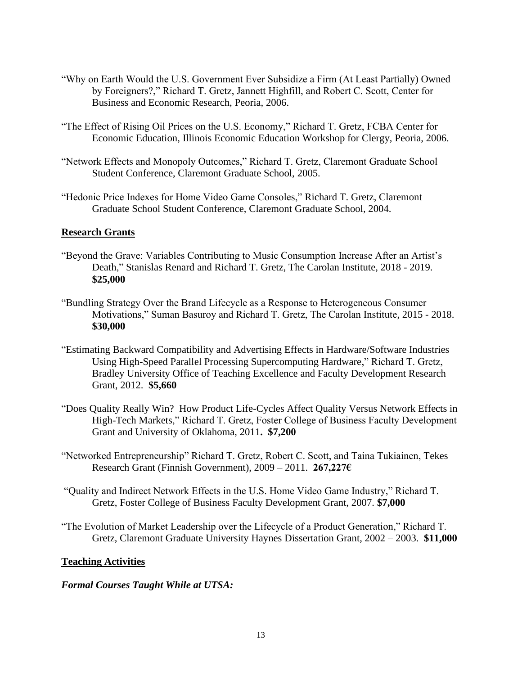- "Why on Earth Would the U.S. Government Ever Subsidize a Firm (At Least Partially) Owned by Foreigners?," Richard T. Gretz, Jannett Highfill, and Robert C. Scott, Center for Business and Economic Research, Peoria, 2006.
- "The Effect of Rising Oil Prices on the U.S. Economy," Richard T. Gretz, FCBA Center for Economic Education, Illinois Economic Education Workshop for Clergy, Peoria, 2006.
- "Network Effects and Monopoly Outcomes," Richard T. Gretz, Claremont Graduate School Student Conference, Claremont Graduate School, 2005.
- "Hedonic Price Indexes for Home Video Game Consoles," Richard T. Gretz, Claremont Graduate School Student Conference, Claremont Graduate School, 2004.

## **Research Grants**

- "Beyond the Grave: Variables Contributing to Music Consumption Increase After an Artist's Death," Stanislas Renard and Richard T. Gretz, The Carolan Institute, 2018 - 2019. **\$25,000**
- "Bundling Strategy Over the Brand Lifecycle as a Response to Heterogeneous Consumer Motivations," Suman Basuroy and Richard T. Gretz, The Carolan Institute, 2015 - 2018. **\$30,000**
- "Estimating Backward Compatibility and Advertising Effects in Hardware/Software Industries Using High-Speed Parallel Processing Supercomputing Hardware," Richard T. Gretz, Bradley University Office of Teaching Excellence and Faculty Development Research Grant, 2012. **\$5,660**
- "Does Quality Really Win? How Product Life-Cycles Affect Quality Versus Network Effects in High-Tech Markets," Richard T. Gretz, Foster College of Business Faculty Development Grant and University of Oklahoma, 2011**. \$7,200**
- "Networked Entrepreneurship" Richard T. Gretz, Robert C. Scott, and Taina Tukiainen, Tekes Research Grant (Finnish Government), 2009 – 2011. **267,227€**
- "Quality and Indirect Network Effects in the U.S. Home Video Game Industry," Richard T. Gretz, Foster College of Business Faculty Development Grant, 2007. **\$7,000**
- "The Evolution of Market Leadership over the Lifecycle of a Product Generation," Richard T. Gretz, Claremont Graduate University Haynes Dissertation Grant, 2002 – 2003. **\$11,000**

### **Teaching Activities**

### *Formal Courses Taught While at UTSA:*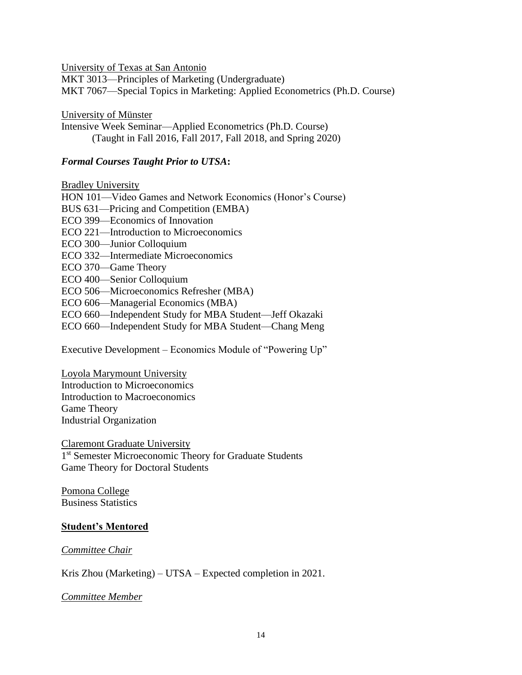University of Texas at San Antonio

MKT 3013—Principles of Marketing (Undergraduate) MKT 7067—Special Topics in Marketing: Applied Econometrics (Ph.D. Course)

University of Münster

Intensive Week Seminar—Applied Econometrics (Ph.D. Course) (Taught in Fall 2016, Fall 2017, Fall 2018, and Spring 2020)

## *Formal Courses Taught Prior to UTSA***:**

Bradley University

HON 101—Video Games and Network Economics (Honor's Course) BUS 631—Pricing and Competition (EMBA) ECO 399—Economics of Innovation ECO 221—Introduction to Microeconomics ECO 300—Junior Colloquium ECO 332—Intermediate Microeconomics ECO 370—Game Theory ECO 400—Senior Colloquium ECO 506—Microeconomics Refresher (MBA) ECO 606—Managerial Economics (MBA) ECO 660—Independent Study for MBA Student—Jeff Okazaki ECO 660—Independent Study for MBA Student—Chang Meng

Executive Development – Economics Module of "Powering Up"

Loyola Marymount University Introduction to Microeconomics Introduction to Macroeconomics Game Theory Industrial Organization

Claremont Graduate University 1<sup>st</sup> Semester Microeconomic Theory for Graduate Students Game Theory for Doctoral Students

Pomona College Business Statistics

### **Student's Mentored**

*Committee Chair*

Kris Zhou (Marketing) – UTSA – Expected completion in 2021.

*Committee Member*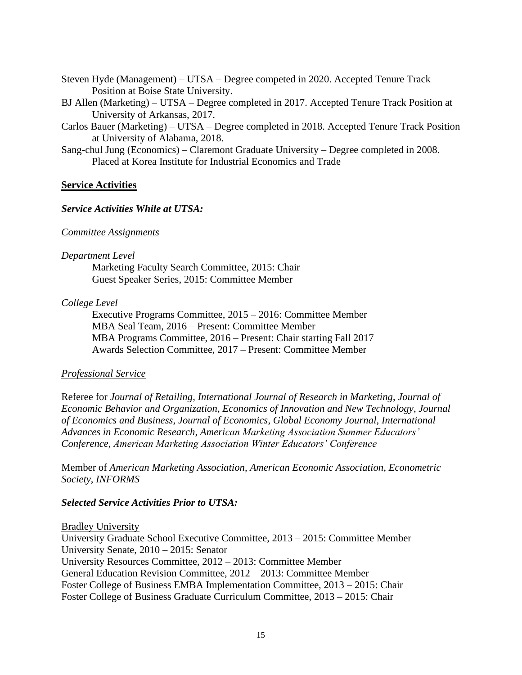Steven Hyde (Management) – UTSA – Degree competed in 2020. Accepted Tenure Track Position at Boise State University.

BJ Allen (Marketing) – UTSA – Degree completed in 2017. Accepted Tenure Track Position at University of Arkansas, 2017.

- Carlos Bauer (Marketing) UTSA Degree completed in 2018. Accepted Tenure Track Position at University of Alabama, 2018.
- Sang-chul Jung (Economics) Claremont Graduate University Degree completed in 2008. Placed at Korea Institute for Industrial Economics and Trade

### **Service Activities**

#### *Service Activities While at UTSA:*

#### *Committee Assignments*

#### *Department Level*

Marketing Faculty Search Committee, 2015: Chair Guest Speaker Series, 2015: Committee Member

#### *College Level*

Executive Programs Committee, 2015 – 2016: Committee Member MBA Seal Team, 2016 – Present: Committee Member MBA Programs Committee, 2016 – Present: Chair starting Fall 2017 Awards Selection Committee, 2017 – Present: Committee Member

#### *Professional Service*

Referee for *Journal of Retailing*, *International Journal of Research in Marketing*, *Journal of Economic Behavior and Organization*, *Economics of Innovation and New Technology*, *Journal of Economics and Business*, *Journal of Economics*, *Global Economy Journal*, *International Advances in Economic Research*, *American Marketing Association Summer Educators' Conference*, *American Marketing Association Winter Educators' Conference*

Member of *American Marketing Association*, *American Economic Association, Econometric Society*, *INFORMS*

### *Selected Service Activities Prior to UTSA:*

Bradley University

University Graduate School Executive Committee, 2013 – 2015: Committee Member University Senate, 2010 – 2015: Senator University Resources Committee, 2012 – 2013: Committee Member General Education Revision Committee, 2012 – 2013: Committee Member Foster College of Business EMBA Implementation Committee, 2013 – 2015: Chair Foster College of Business Graduate Curriculum Committee, 2013 – 2015: Chair